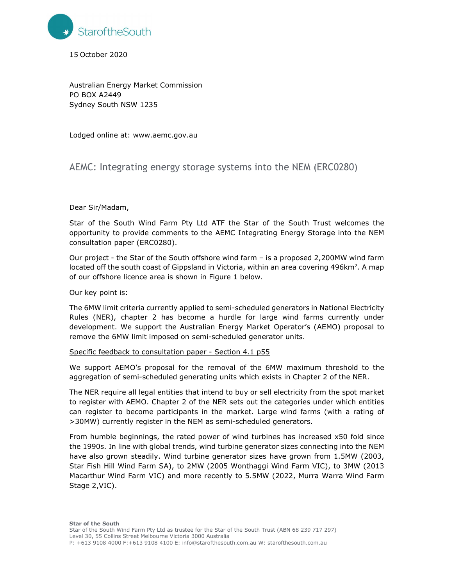

15 October 2020

Australian Energy Market Commission PO BOX A2449 Sydney South NSW 1235

Lodged online at: www.aemc.gov.au

# AEMC: Integrating energy storage systems into the NEM (ERC0280)

### Dear Sir/Madam,

Star of the South Wind Farm Pty Ltd ATF the Star of the South Trust welcomes the opportunity to provide comments to the AEMC Integrating Energy Storage into the NEM consultation paper (ERC0280).

Our project - the Star of the South offshore wind farm – is a proposed 2,200MW wind farm located off the south coast of Gippsland in Victoria, within an area covering 496km<sup>2</sup>. A map of our offshore licence area is shown in Figure 1 below.

Our key point is:

The 6MW limit criteria currently applied to semi-scheduled generators in National Electricity Rules (NER), chapter 2 has become a hurdle for large wind farms currently under development. We support the Australian Energy Market Operator's (AEMO) proposal to remove the 6MW limit imposed on semi-scheduled generator units.

## Specific feedback to consultation paper - Section 4.1 p55

We support AEMO's proposal for the removal of the 6MW maximum threshold to the aggregation of semi-scheduled generating units which exists in Chapter 2 of the NER.

The NER require all legal entities that intend to buy or sell electricity from the spot market to register with AEMO. Chapter 2 of the NER sets out the categories under which entities can register to become participants in the market. Large wind farms (with a rating of >30MW) currently register in the NEM as semi-scheduled generators.

From humble beginnings, the rated power of wind turbines has increased x50 fold since the 1990s. In line with global trends, wind turbine generator sizes connecting into the NEM have also grown steadily. Wind turbine generator sizes have grown from 1.5MW (2003, Star Fish Hill Wind Farm SA), to 2MW (2005 Wonthaggi Wind Farm VIC), to 3MW (2013 Macarthur Wind Farm VIC) and more recently to 5.5MW (2022, Murra Warra Wind Farm Stage 2,VIC).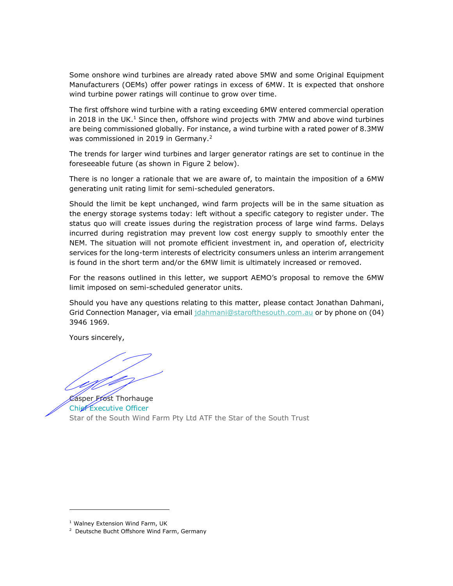Some onshore wind turbines are already rated above 5MW and some Original Equipment Manufacturers (OEMs) offer power ratings in excess of 6MW. It is expected that onshore wind turbine power ratings will continue to grow over time.

The first offshore wind turbine with a rating exceeding 6MW entered commercial operation in 2018 in the UK. $<sup>1</sup>$  Since then, offshore wind projects with 7MW and above wind turbines</sup> are being commissioned globally. For instance, a wind turbine with a rated power of 8.3MW was commissioned in 2019 in Germany.<sup>2</sup>

The trends for larger wind turbines and larger generator ratings are set to continue in the foreseeable future (as shown in Figure 2 below).

There is no longer a rationale that we are aware of, to maintain the imposition of a 6MW generating unit rating limit for semi-scheduled generators.

Should the limit be kept unchanged, wind farm projects will be in the same situation as the energy storage systems today: left without a specific category to register under. The status quo will create issues during the registration process of large wind farms. Delays incurred during registration may prevent low cost energy supply to smoothly enter the NEM. The situation will not promote efficient investment in, and operation of, electricity services for the long-term interests of electricity consumers unless an interim arrangement is found in the short term and/or the 6MW limit is ultimately increased or removed.

For the reasons outlined in this letter, we support AEMO's proposal to remove the 6MW limit imposed on semi-scheduled generator units.

Should you have any questions relating to this matter, please contact Jonathan Dahmani, Grid Connection Manager, via email jdahmani@starofthesouth.com.au or by phone on (04) 3946 1969.

Yours sincerely,

Casper Frost Thorhauge Chief Executive Officer Star of the South Wind Farm Pty Ltd ATF the Star of the South Trust

<sup>&</sup>lt;sup>1</sup> Walney Extension Wind Farm, UK

<sup>2</sup> Deutsche Bucht Offshore Wind Farm, Germany